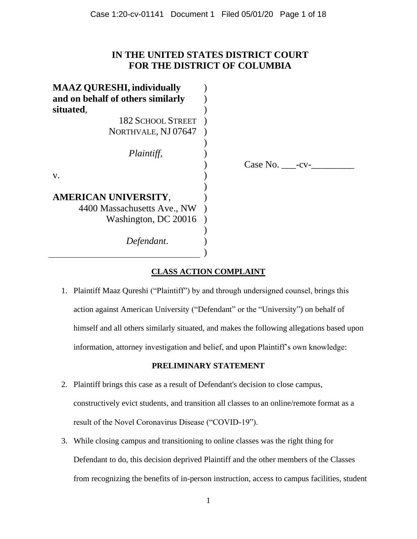# **IN THE UNITED STATES DISTRICT COURT FOR THE DISTRICT OF COLUMBIA**

| <b>MAAZ QURESHI, individually</b> |                |
|-----------------------------------|----------------|
| and on behalf of others similarly |                |
| situated,                         |                |
| <b>182 SCHOOL STREET</b>          |                |
| NORTHVALE, NJ 07647               |                |
|                                   |                |
| Plaintiff,                        |                |
|                                   | Case No. - cv- |
| V.                                |                |
|                                   |                |
| AMERICAN UNIVERSITY,              |                |
| 4400 Massachusetts Ave., NW       |                |
| Washington, DC 20016              |                |
|                                   |                |
| Defendant.                        |                |
|                                   |                |
|                                   |                |

# **CLASS ACTION COMPLAINT**

1. Plaintiff Maaz Qureshi ("Plaintiff") by and through undersigned counsel, brings this action against American University ("Defendant" or the "University") on behalf of himself and all others similarly situated, and makes the following allegations based upon information, attorney investigation and belief, and upon Plaintiff's own knowledge:

# **PRELIMINARY STATEMENT**

- 2. Plaintiff brings this case as a result of Defendant's decision to close campus, constructively evict students, and transition all classes to an online/remote format as a result of the Novel Coronavirus Disease ("COVID-19").
- 3. While closing campus and transitioning to online classes was the right thing for Defendant to do, this decision deprived Plaintiff and the other members of the Classes from recognizing the benefits of in-person instruction, access to campus facilities, student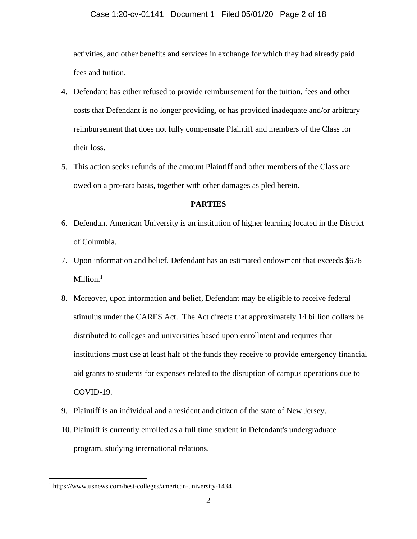#### Case 1:20-cv-01141 Document 1 Filed 05/01/20 Page 2 of 18

activities, and other benefits and services in exchange for which they had already paid fees and tuition.

- 4. Defendant has either refused to provide reimbursement for the tuition, fees and other costs that Defendant is no longer providing, or has provided inadequate and/or arbitrary reimbursement that does not fully compensate Plaintiff and members of the Class for their loss.
- 5. This action seeks refunds of the amount Plaintiff and other members of the Class are owed on a pro-rata basis, together with other damages as pled herein.

#### **PARTIES**

- 6. Defendant American University is an institution of higher learning located in the District of Columbia.
- 7. Upon information and belief, Defendant has an estimated endowment that exceeds \$676  $Million.<sup>1</sup>$
- 8. Moreover, upon information and belief, Defendant may be eligible to receive federal stimulus under the CARES Act. The Act directs that approximately 14 billion dollars be distributed to colleges and universities based upon enrollment and requires that institutions must use at least half of the funds they receive to provide emergency financial aid grants to students for expenses related to the disruption of campus operations due to COVID-19.
- 9. Plaintiff is an individual and a resident and citizen of the state of New Jersey.
- 10. Plaintiff is currently enrolled as a full time student in Defendant's undergraduate program, studying international relations.

<sup>1</sup> https://www.usnews.com/best-colleges/american-university-1434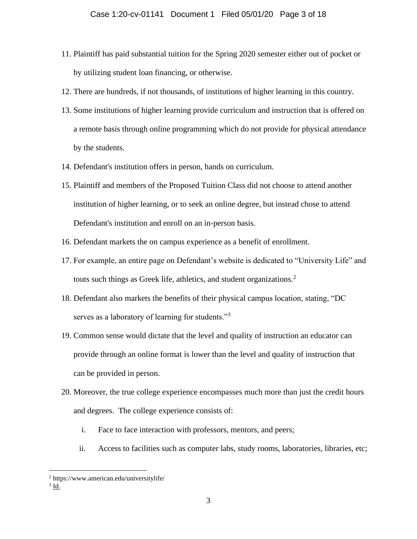- 11. Plaintiff has paid substantial tuition for the Spring 2020 semester either out of pocket or by utilizing student loan financing, or otherwise.
- 12. There are hundreds, if not thousands, of institutions of higher learning in this country.
- 13. Some institutions of higher learning provide curriculum and instruction that is offered on a remote basis through online programming which do not provide for physical attendance by the students.
- 14. Defendant's institution offers in person, hands on curriculum.
- 15. Plaintiff and members of the Proposed Tuition Class did not choose to attend another institution of higher learning, or to seek an online degree, but instead chose to attend Defendant's institution and enroll on an in-person basis.
- 16. Defendant markets the on campus experience as a benefit of enrollment.
- 17. For example, an entire page on Defendant's website is dedicated to "University Life" and touts such things as Greek life, athletics, and student organizations.<sup>2</sup>
- 18. Defendant also markets the benefits of their physical campus location, stating, "DC serves as a laboratory of learning for students."<sup>3</sup>
- 19. Common sense would dictate that the level and quality of instruction an educator can provide through an online format is lower than the level and quality of instruction that can be provided in person.
- 20. Moreover, the true college experience encompasses much more than just the credit hours and degrees. The college experience consists of:
	- i. Face to face interaction with professors, mentors, and peers;
	- ii. Access to facilities such as computer labs, study rooms, laboratories, libraries, etc;

 $3 \underline{\mathsf{Id}}$ .

<sup>2</sup> https://www.american.edu/universitylife/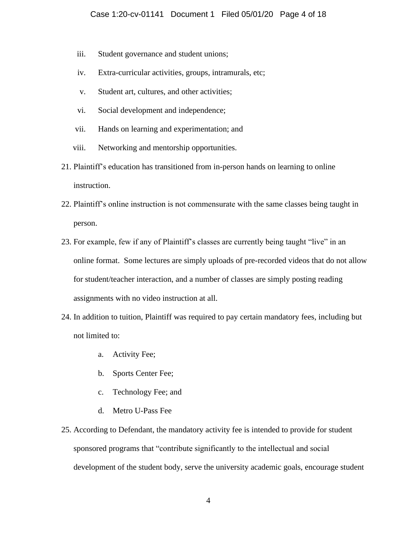- iii. Student governance and student unions;
- iv. Extra-curricular activities, groups, intramurals, etc;
- v. Student art, cultures, and other activities;
- vi. Social development and independence;
- vii. Hands on learning and experimentation; and
- viii. Networking and mentorship opportunities.
- 21. Plaintiff's education has transitioned from in-person hands on learning to online instruction.
- 22. Plaintiff's online instruction is not commensurate with the same classes being taught in person.
- 23. For example, few if any of Plaintiff's classes are currently being taught "live" in an online format. Some lectures are simply uploads of pre-recorded videos that do not allow for student/teacher interaction, and a number of classes are simply posting reading assignments with no video instruction at all.
- 24. In addition to tuition, Plaintiff was required to pay certain mandatory fees, including but not limited to:
	- a. Activity Fee;
	- b. Sports Center Fee;
	- c. Technology Fee; and
	- d. Metro U-Pass Fee
- 25. According to Defendant, the mandatory activity fee is intended to provide for student sponsored programs that "contribute significantly to the intellectual and social development of the student body, serve the university academic goals, encourage student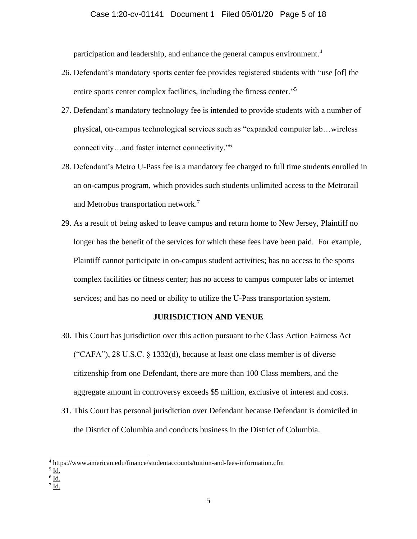participation and leadership, and enhance the general campus environment.<sup>4</sup>

- 26. Defendant's mandatory sports center fee provides registered students with "use [of] the entire sports center complex facilities, including the fitness center."<sup>5</sup>
- 27. Defendant's mandatory technology fee is intended to provide students with a number of physical, on-campus technological services such as "expanded computer lab…wireless connectivity…and faster internet connectivity."<sup>6</sup>
- 28. Defendant's Metro U-Pass fee is a mandatory fee charged to full time students enrolled in an on-campus program, which provides such students unlimited access to the Metrorail and Metrobus transportation network.<sup>7</sup>
- 29. As a result of being asked to leave campus and return home to New Jersey, Plaintiff no longer has the benefit of the services for which these fees have been paid. For example, Plaintiff cannot participate in on-campus student activities; has no access to the sports complex facilities or fitness center; has no access to campus computer labs or internet services; and has no need or ability to utilize the U-Pass transportation system.

#### **JURISDICTION AND VENUE**

- 30. This Court has jurisdiction over this action pursuant to the Class Action Fairness Act ("CAFA"), 28 U.S.C. § 1332(d), because at least one class member is of diverse citizenship from one Defendant, there are more than 100 Class members, and the aggregate amount in controversy exceeds \$5 million, exclusive of interest and costs.
- 31. This Court has personal jurisdiction over Defendant because Defendant is domiciled in the District of Columbia and conducts business in the District of Columbia.

 $^7$  Id.

<sup>4</sup> https://www.american.edu/finance/studentaccounts/tuition-and-fees-information.cfm

 $<sup>5</sup>$  Id.</sup>

 $^6$  Id.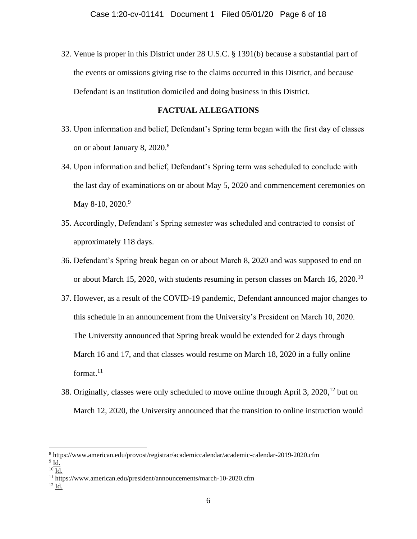32. Venue is proper in this District under 28 U.S.C. § 1391(b) because a substantial part of the events or omissions giving rise to the claims occurred in this District, and because Defendant is an institution domiciled and doing business in this District.

#### **FACTUAL ALLEGATIONS**

- 33. Upon information and belief, Defendant's Spring term began with the first day of classes on or about January 8, 2020.<sup>8</sup>
- 34. Upon information and belief, Defendant's Spring term was scheduled to conclude with the last day of examinations on or about May 5, 2020 and commencement ceremonies on May 8-10, 2020.<sup>9</sup>
- 35. Accordingly, Defendant's Spring semester was scheduled and contracted to consist of approximately 118 days.
- 36. Defendant's Spring break began on or about March 8, 2020 and was supposed to end on or about March 15, 2020, with students resuming in person classes on March 16, 2020.<sup>10</sup>
- 37. However, as a result of the COVID-19 pandemic, Defendant announced major changes to this schedule in an announcement from the University's President on March 10, 2020. The University announced that Spring break would be extended for 2 days through March 16 and 17, and that classes would resume on March 18, 2020 in a fully online format. $11$
- 38. Originally, classes were only scheduled to move online through April 3, 2020,  $12$  but on March 12, 2020, the University announced that the transition to online instruction would

<sup>8</sup> https://www.american.edu/provost/registrar/academiccalendar/academic-calendar-2019-2020.cfm  $^9$  Id.

 $10$  Id.

<sup>&</sup>lt;sup>11</sup> https://www.american.edu/president/announcements/march-10-2020.cfm

 $^{12}$   $\underline{\text{Id}}$ .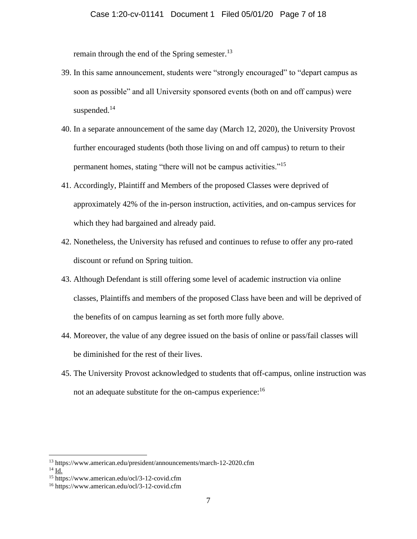remain through the end of the Spring semester.<sup>13</sup>

- 39. In this same announcement, students were "strongly encouraged" to "depart campus as soon as possible" and all University sponsored events (both on and off campus) were suspended.<sup>14</sup>
- 40. In a separate announcement of the same day (March 12, 2020), the University Provost further encouraged students (both those living on and off campus) to return to their permanent homes, stating "there will not be campus activities."<sup>15</sup>
- 41. Accordingly, Plaintiff and Members of the proposed Classes were deprived of approximately 42% of the in-person instruction, activities, and on-campus services for which they had bargained and already paid.
- 42. Nonetheless, the University has refused and continues to refuse to offer any pro-rated discount or refund on Spring tuition.
- 43. Although Defendant is still offering some level of academic instruction via online classes, Plaintiffs and members of the proposed Class have been and will be deprived of the benefits of on campus learning as set forth more fully above.
- 44. Moreover, the value of any degree issued on the basis of online or pass/fail classes will be diminished for the rest of their lives.
- 45. The University Provost acknowledged to students that off-campus, online instruction was not an adequate substitute for the on-campus experience:<sup>16</sup>

<sup>13</sup> https://www.american.edu/president/announcements/march-12-2020.cfm

<sup>14</sup> Id.

<sup>15</sup> https://www.american.edu/ocl/3-12-covid.cfm

<sup>16</sup> https://www.american.edu/ocl/3-12-covid.cfm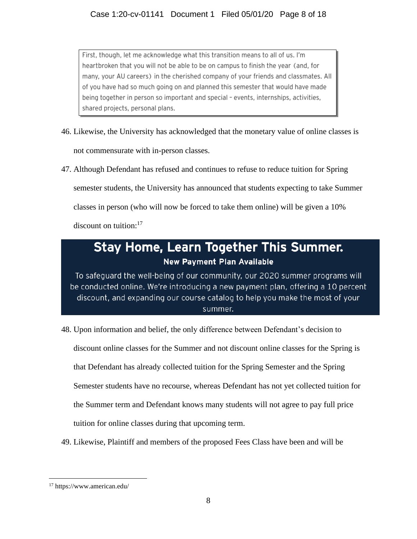First, though, let me acknowledge what this transition means to all of us. I'm heartbroken that you will not be able to be on campus to finish the year (and, for many, your AU careers) in the cherished company of your friends and classmates. All of you have had so much going on and planned this semester that would have made being together in person so important and special - events, internships, activities, shared projects, personal plans.

- 46. Likewise, the University has acknowledged that the monetary value of online classes is not commensurate with in-person classes.
- 47. Although Defendant has refused and continues to refuse to reduce tuition for Spring semester students, the University has announced that students expecting to take Summer classes in person (who will now be forced to take them online) will be given a 10% discount on tuition: $17$

# **Stay Home, Learn Together This Summer. New Payment Plan Available**

To safeguard the well-being of our community, our 2020 summer programs will be conducted online. We're introducing a new payment plan, offering a 10 percent discount, and expanding our course catalog to help you make the most of your summer.

- 48. Upon information and belief, the only difference between Defendant's decision to discount online classes for the Summer and not discount online classes for the Spring is that Defendant has already collected tuition for the Spring Semester and the Spring Semester students have no recourse, whereas Defendant has not yet collected tuition for the Summer term and Defendant knows many students will not agree to pay full price tuition for online classes during that upcoming term.
- 49. Likewise, Plaintiff and members of the proposed Fees Class have been and will be

<sup>17</sup> https://www.american.edu/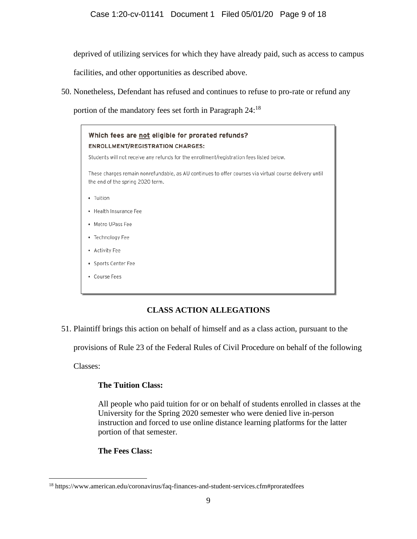deprived of utilizing services for which they have already paid, such as access to campus

facilities, and other opportunities as described above.

50. Nonetheless, Defendant has refused and continues to refuse to pro-rate or refund any

portion of the mandatory fees set forth in Paragraph 24:<sup>18</sup>



# **CLASS ACTION ALLEGATIONS**

51. Plaintiff brings this action on behalf of himself and as a class action, pursuant to the

provisions of Rule 23 of the Federal Rules of Civil Procedure on behalf of the following

Classes:

# **The Tuition Class:**

All people who paid tuition for or on behalf of students enrolled in classes at the University for the Spring 2020 semester who were denied live in-person instruction and forced to use online distance learning platforms for the latter portion of that semester.

# **The Fees Class:**

<sup>18</sup> https://www.american.edu/coronavirus/faq-finances-and-student-services.cfm#proratedfees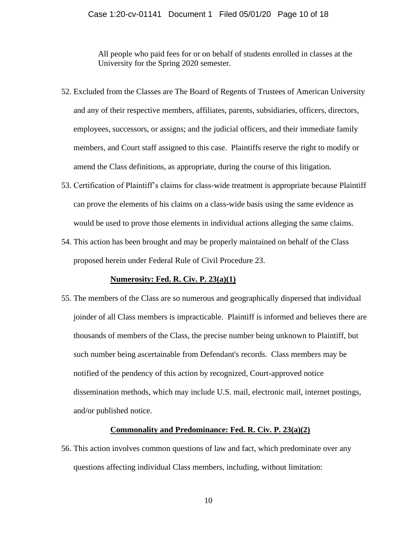#### Case 1:20-cv-01141 Document 1 Filed 05/01/20 Page 10 of 18

All people who paid fees for or on behalf of students enrolled in classes at the University for the Spring 2020 semester.

- 52. Excluded from the Classes are The Board of Regents of Trustees of American University and any of their respective members, affiliates, parents, subsidiaries, officers, directors, employees, successors, or assigns; and the judicial officers, and their immediate family members, and Court staff assigned to this case. Plaintiffs reserve the right to modify or amend the Class definitions, as appropriate, during the course of this litigation.
- 53. Certification of Plaintiff's claims for class-wide treatment is appropriate because Plaintiff can prove the elements of his claims on a class-wide basis using the same evidence as would be used to prove those elements in individual actions alleging the same claims.
- 54. This action has been brought and may be properly maintained on behalf of the Class proposed herein under Federal Rule of Civil Procedure 23.

#### **Numerosity: Fed. R. Civ. P. 23(a)(1)**

55. The members of the Class are so numerous and geographically dispersed that individual joinder of all Class members is impracticable. Plaintiff is informed and believes there are thousands of members of the Class, the precise number being unknown to Plaintiff, but such number being ascertainable from Defendant's records. Class members may be notified of the pendency of this action by recognized, Court-approved notice dissemination methods, which may include U.S. mail, electronic mail, internet postings, and/or published notice.

#### **Commonality and Predominance: Fed. R. Civ. P. 23(a)(2)**

56. This action involves common questions of law and fact, which predominate over any questions affecting individual Class members, including, without limitation: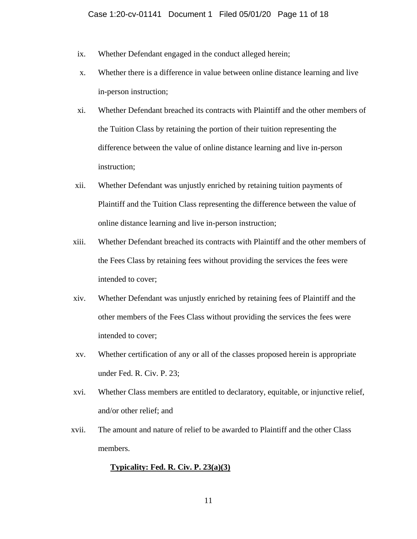- ix. Whether Defendant engaged in the conduct alleged herein;
- x. Whether there is a difference in value between online distance learning and live in-person instruction;
- xi. Whether Defendant breached its contracts with Plaintiff and the other members of the Tuition Class by retaining the portion of their tuition representing the difference between the value of online distance learning and live in-person instruction;
- xii. Whether Defendant was unjustly enriched by retaining tuition payments of Plaintiff and the Tuition Class representing the difference between the value of online distance learning and live in-person instruction;
- xiii. Whether Defendant breached its contracts with Plaintiff and the other members of the Fees Class by retaining fees without providing the services the fees were intended to cover;
- xiv. Whether Defendant was unjustly enriched by retaining fees of Plaintiff and the other members of the Fees Class without providing the services the fees were intended to cover;
- xv. Whether certification of any or all of the classes proposed herein is appropriate under Fed. R. Civ. P. 23;
- xvi. Whether Class members are entitled to declaratory, equitable, or injunctive relief, and/or other relief; and
- xvii. The amount and nature of relief to be awarded to Plaintiff and the other Class members.

#### **Typicality: Fed. R. Civ. P. 23(a)(3)**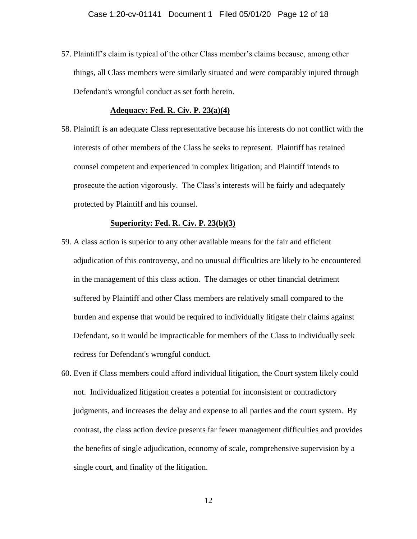57. Plaintiff's claim is typical of the other Class member's claims because, among other things, all Class members were similarly situated and were comparably injured through Defendant's wrongful conduct as set forth herein.

#### **Adequacy: Fed. R. Civ. P. 23(a)(4)**

58. Plaintiff is an adequate Class representative because his interests do not conflict with the interests of other members of the Class he seeks to represent. Plaintiff has retained counsel competent and experienced in complex litigation; and Plaintiff intends to prosecute the action vigorously. The Class's interests will be fairly and adequately protected by Plaintiff and his counsel.

#### **Superiority: Fed. R. Civ. P. 23(b)(3)**

- 59. A class action is superior to any other available means for the fair and efficient adjudication of this controversy, and no unusual difficulties are likely to be encountered in the management of this class action. The damages or other financial detriment suffered by Plaintiff and other Class members are relatively small compared to the burden and expense that would be required to individually litigate their claims against Defendant, so it would be impracticable for members of the Class to individually seek redress for Defendant's wrongful conduct.
- 60. Even if Class members could afford individual litigation, the Court system likely could not. Individualized litigation creates a potential for inconsistent or contradictory judgments, and increases the delay and expense to all parties and the court system. By contrast, the class action device presents far fewer management difficulties and provides the benefits of single adjudication, economy of scale, comprehensive supervision by a single court, and finality of the litigation.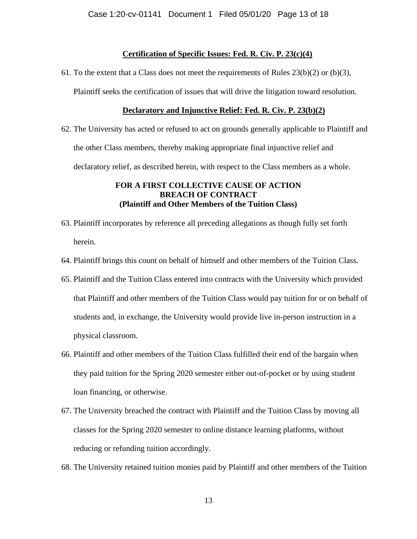### **Certification of Specific Issues: Fed. R. Civ. P. 23(c)(4)**

61. To the extent that a Class does not meet the requirements of Rules  $23(b)(2)$  or (b)(3),

Plaintiff seeks the certification of issues that will drive the litigation toward resolution.

#### **Declaratory and Injunctive Relief: Fed. R. Civ. P. 23(b)(2)**

62. The University has acted or refused to act on grounds generally applicable to Plaintiff and the other Class members, thereby making appropriate final injunctive relief and declaratory relief, as described herein, with respect to the Class members as a whole.

## **FOR A FIRST COLLECTIVE CAUSE OF ACTION BREACH OF CONTRACT (Plaintiff and Other Members of the Tuition Class)**

- 63. Plaintiff incorporates by reference all preceding allegations as though fully set forth herein.
- 64. Plaintiff brings this count on behalf of himself and other members of the Tuition Class.
- 65. Plaintiff and the Tuition Class entered into contracts with the University which provided that Plaintiff and other members of the Tuition Class would pay tuition for or on behalf of students and, in exchange, the University would provide live in-person instruction in a physical classroom.
- 66. Plaintiff and other members of the Tuition Class fulfilled their end of the bargain when they paid tuition for the Spring 2020 semester either out-of-pocket or by using student loan financing, or otherwise.
- 67. The University breached the contract with Plaintiff and the Tuition Class by moving all classes for the Spring 2020 semester to online distance learning platforms, without reducing or refunding tuition accordingly.
- 68. The University retained tuition monies paid by Plaintiff and other members of the Tuition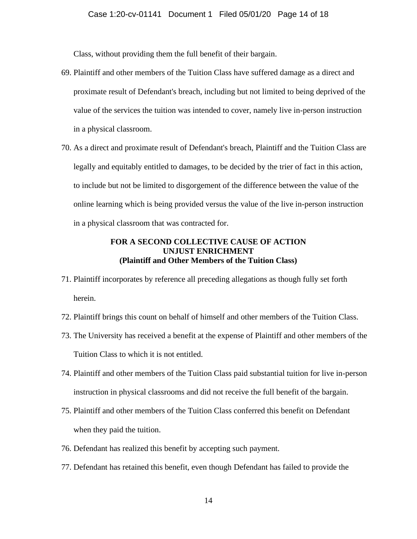Class, without providing them the full benefit of their bargain.

- 69. Plaintiff and other members of the Tuition Class have suffered damage as a direct and proximate result of Defendant's breach, including but not limited to being deprived of the value of the services the tuition was intended to cover, namely live in-person instruction in a physical classroom.
- 70. As a direct and proximate result of Defendant's breach, Plaintiff and the Tuition Class are legally and equitably entitled to damages, to be decided by the trier of fact in this action, to include but not be limited to disgorgement of the difference between the value of the online learning which is being provided versus the value of the live in-person instruction in a physical classroom that was contracted for.

## **FOR A SECOND COLLECTIVE CAUSE OF ACTION UNJUST ENRICHMENT (Plaintiff and Other Members of the Tuition Class)**

- 71. Plaintiff incorporates by reference all preceding allegations as though fully set forth herein.
- 72. Plaintiff brings this count on behalf of himself and other members of the Tuition Class.
- 73. The University has received a benefit at the expense of Plaintiff and other members of the Tuition Class to which it is not entitled.
- 74. Plaintiff and other members of the Tuition Class paid substantial tuition for live in-person instruction in physical classrooms and did not receive the full benefit of the bargain.
- 75. Plaintiff and other members of the Tuition Class conferred this benefit on Defendant when they paid the tuition.
- 76. Defendant has realized this benefit by accepting such payment.
- 77. Defendant has retained this benefit, even though Defendant has failed to provide the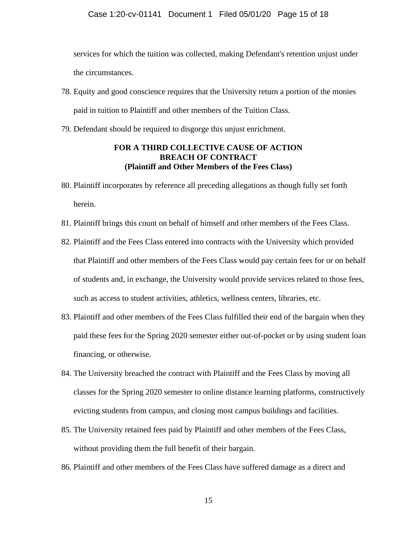services for which the tuition was collected, making Defendant's retention unjust under the circumstances.

- 78. Equity and good conscience requires that the University return a portion of the monies paid in tuition to Plaintiff and other members of the Tuition Class.
- 79. Defendant should be required to disgorge this unjust enrichment.

## **FOR A THIRD COLLECTIVE CAUSE OF ACTION BREACH OF CONTRACT (Plaintiff and Other Members of the Fees Class)**

- 80. Plaintiff incorporates by reference all preceding allegations as though fully set forth herein.
- 81. Plaintiff brings this count on behalf of himself and other members of the Fees Class.
- 82. Plaintiff and the Fees Class entered into contracts with the University which provided that Plaintiff and other members of the Fees Class would pay certain fees for or on behalf of students and, in exchange, the University would provide services related to those fees, such as access to student activities, athletics, wellness centers, libraries, etc.
- 83. Plaintiff and other members of the Fees Class fulfilled their end of the bargain when they paid these fees for the Spring 2020 semester either out-of-pocket or by using student loan financing, or otherwise.
- 84. The University breached the contract with Plaintiff and the Fees Class by moving all classes for the Spring 2020 semester to online distance learning platforms, constructively evicting students from campus, and closing most campus buildings and facilities.
- 85. The University retained fees paid by Plaintiff and other members of the Fees Class, without providing them the full benefit of their bargain.
- 86. Plaintiff and other members of the Fees Class have suffered damage as a direct and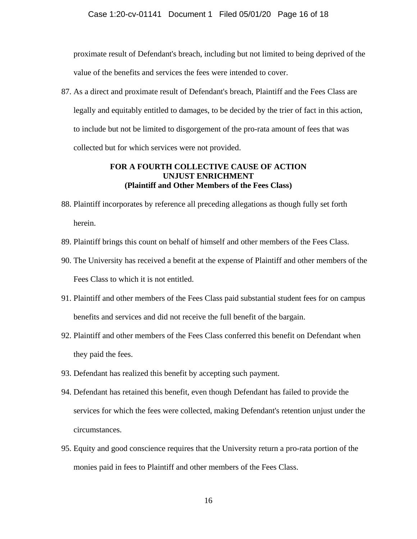proximate result of Defendant's breach, including but not limited to being deprived of the value of the benefits and services the fees were intended to cover.

87. As a direct and proximate result of Defendant's breach, Plaintiff and the Fees Class are legally and equitably entitled to damages, to be decided by the trier of fact in this action, to include but not be limited to disgorgement of the pro-rata amount of fees that was collected but for which services were not provided.

## **FOR A FOURTH COLLECTIVE CAUSE OF ACTION UNJUST ENRICHMENT (Plaintiff and Other Members of the Fees Class)**

- 88. Plaintiff incorporates by reference all preceding allegations as though fully set forth herein.
- 89. Plaintiff brings this count on behalf of himself and other members of the Fees Class.
- 90. The University has received a benefit at the expense of Plaintiff and other members of the Fees Class to which it is not entitled.
- 91. Plaintiff and other members of the Fees Class paid substantial student fees for on campus benefits and services and did not receive the full benefit of the bargain.
- 92. Plaintiff and other members of the Fees Class conferred this benefit on Defendant when they paid the fees.
- 93. Defendant has realized this benefit by accepting such payment.
- 94. Defendant has retained this benefit, even though Defendant has failed to provide the services for which the fees were collected, making Defendant's retention unjust under the circumstances.
- 95. Equity and good conscience requires that the University return a pro-rata portion of the monies paid in fees to Plaintiff and other members of the Fees Class.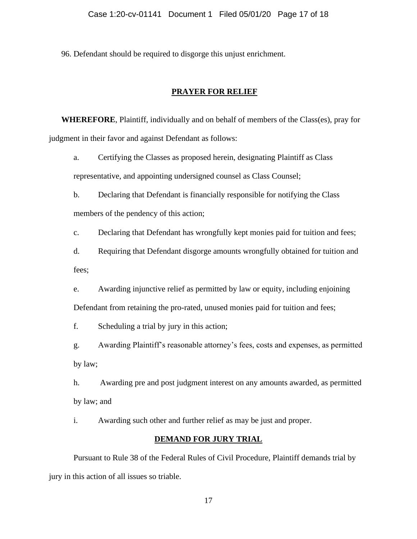96. Defendant should be required to disgorge this unjust enrichment.

### **PRAYER FOR RELIEF**

**WHEREFORE**, Plaintiff, individually and on behalf of members of the Class(es), pray for judgment in their favor and against Defendant as follows:

a. Certifying the Classes as proposed herein, designating Plaintiff as Class representative, and appointing undersigned counsel as Class Counsel;

b. Declaring that Defendant is financially responsible for notifying the Class members of the pendency of this action;

c. Declaring that Defendant has wrongfully kept monies paid for tuition and fees;

d. Requiring that Defendant disgorge amounts wrongfully obtained for tuition and fees;

e. Awarding injunctive relief as permitted by law or equity, including enjoining Defendant from retaining the pro-rated, unused monies paid for tuition and fees;

f. Scheduling a trial by jury in this action;

g. Awarding Plaintiff's reasonable attorney's fees, costs and expenses, as permitted by law;

h. Awarding pre and post judgment interest on any amounts awarded, as permitted by law; and

i. Awarding such other and further relief as may be just and proper.

#### **DEMAND FOR JURY TRIAL**

Pursuant to Rule 38 of the Federal Rules of Civil Procedure, Plaintiff demands trial by jury in this action of all issues so triable.

17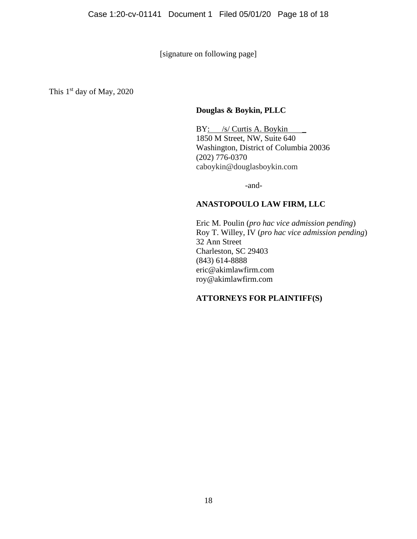[signature on following page]

This 1<sup>st</sup> day of May, 2020

## **Douglas & Boykin, PLLC**

BY: /s/ Curtis A. Boykin \_\_ 1850 M Street, NW, Suite 640 Washington, District of Columbia 20036 (202) 776-0370 caboykin@douglasboykin.com

-and-

## **ANASTOPOULO LAW FIRM, LLC**

Eric M. Poulin (*pro hac vice admission pending*) Roy T. Willey, IV (*pro hac vice admission pending*) 32 Ann Street Charleston, SC 29403 (843) 614-8888 eric@akimlawfirm.com roy@akimlawfirm.com

# **ATTORNEYS FOR PLAINTIFF(S)**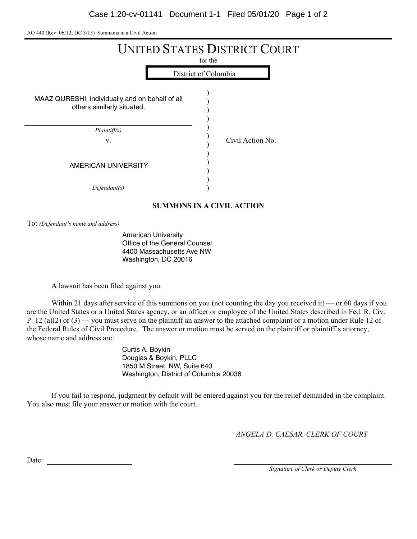| AO 440 (Rev. $06/12$ ; DC $3/15$ ) Summons in a Civil Action |  |
|--------------------------------------------------------------|--|
|--------------------------------------------------------------|--|

| <b>UNITED STATES DISTRICT COURT</b><br>for the<br>District of Columbia        |                  |  |  |  |
|-------------------------------------------------------------------------------|------------------|--|--|--|
| MAAZ QURESHI, individually and on behalf of all<br>others similarly situated, |                  |  |  |  |
| Plaintiff(s)<br>V.                                                            | Civil Action No. |  |  |  |
| AMERICAN UNIVERSITY                                                           |                  |  |  |  |
| Defendant(s)                                                                  |                  |  |  |  |
| <b>SUMMONS IN A CIVIL ACTION</b>                                              |                  |  |  |  |

To: (Defendant's name and address)

American University Office of the General Counsel 4400 Massachusetts Ave NW Washington, DC 20016

A lawsuit has been filed against you.

Within 21 days after service of this summons on you (not counting the day you received it) — or 60 days if you are the United States or a United States agency, or an officer or employee of the United States described in Fed. R. Civ. P. 12 (a)(2) or (3) — you must serve on the plaintiff an answer to the attached complaint or a motion under Rule 12 of the Federal Rules of Civil Procedure. The answer or motion must be served on the plaintiff or plaintiff's attorney, whose name and address are:

> Curtis A. Boykin Douglas & Boykin, PLLC 1850 M Street, NW, Suite 640 Washington, District of Columbia 20036

If you fail to respond, judgment by default will be entered against you for the relief demanded in the complaint. You also must file your answer or motion with the court.

*ANGELA D. CAESAR, CLERK OF COURT* 

Date:

*Signature of Clerk or Deputy Clerk*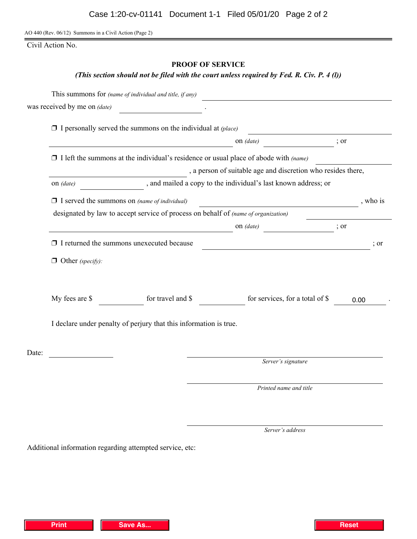AO 440 (Rev. 06/12) Summons in a Civil Action (Page 2)

Civil Action No.

## **PROOF OF SERVICE**

### *(This section should not be filed with the court unless required by Fed. R. Civ. P. 4 (l))*

|       |                              | This summons for (name of individual and title, if any)             |                                                                                             |                  |                 |
|-------|------------------------------|---------------------------------------------------------------------|---------------------------------------------------------------------------------------------|------------------|-----------------|
|       | was received by me on (date) |                                                                     |                                                                                             |                  |                 |
|       |                              | $\Box$ I personally served the summons on the individual at (place) |                                                                                             |                  |                 |
|       |                              |                                                                     | on (date)                                                                                   | $\frac{1}{2}$ or |                 |
|       |                              |                                                                     | $\Box$ I left the summons at the individual's residence or usual place of abode with (name) |                  |                 |
|       |                              |                                                                     | , a person of suitable age and discretion who resides there,                                |                  |                 |
|       | on (date)                    |                                                                     | , and mailed a copy to the individual's last known address; or                              |                  |                 |
|       |                              | $\Box$ I served the summons on (name of individual)                 |                                                                                             |                  | , who is        |
|       |                              |                                                                     | designated by law to accept service of process on behalf of (name of organization)          |                  |                 |
|       |                              |                                                                     | on (date)                                                                                   | $\frac{1}{2}$ or |                 |
|       |                              | $\Box$ I returned the summons unexecuted because                    | <u> 1989 - Johann Barbara, martxa amerikan personal (</u>                                   |                  | $\therefore$ or |
|       | $\Box$ Other (specify):      |                                                                     |                                                                                             |                  |                 |
|       |                              |                                                                     |                                                                                             |                  |                 |
|       | My fees are \$               | for travel and \$                                                   | for services, for a total of \$                                                             | 0.00             |                 |
|       |                              | I declare under penalty of perjury that this information is true.   |                                                                                             |                  |                 |
| Date: |                              |                                                                     |                                                                                             |                  |                 |
|       |                              |                                                                     | Server's signature                                                                          |                  |                 |
|       |                              |                                                                     | Printed name and title                                                                      |                  |                 |
|       |                              |                                                                     |                                                                                             |                  |                 |

Server's address

Additional information regarding attempted service, etc: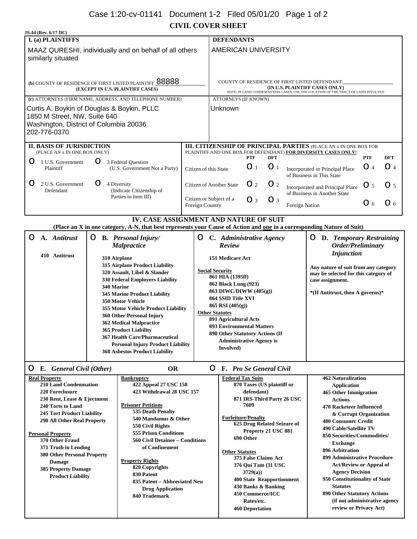# Case 1:20-cv-01141 Document 1-2 Filed 05/01/20 Page 1 of 2

**CIVIL COVER SHEET**

| JS-44 (Rev. 6/17 DC)                                                                                                                                                                                                                                                                                                                                                                                                                                                                                                                                                                                                                                                                                                                                                   |                                                                                                                                                                  |                                                                                                                                           |                                                                                                                                                                                                                                                                                                                                                                                                               |                            |                                                                                                                                                                                                                                                                                                                                                                                                                                                                                                                          |                                                                                                                                                           |                                                                                               |                   |                         |
|------------------------------------------------------------------------------------------------------------------------------------------------------------------------------------------------------------------------------------------------------------------------------------------------------------------------------------------------------------------------------------------------------------------------------------------------------------------------------------------------------------------------------------------------------------------------------------------------------------------------------------------------------------------------------------------------------------------------------------------------------------------------|------------------------------------------------------------------------------------------------------------------------------------------------------------------|-------------------------------------------------------------------------------------------------------------------------------------------|---------------------------------------------------------------------------------------------------------------------------------------------------------------------------------------------------------------------------------------------------------------------------------------------------------------------------------------------------------------------------------------------------------------|----------------------------|--------------------------------------------------------------------------------------------------------------------------------------------------------------------------------------------------------------------------------------------------------------------------------------------------------------------------------------------------------------------------------------------------------------------------------------------------------------------------------------------------------------------------|-----------------------------------------------------------------------------------------------------------------------------------------------------------|-----------------------------------------------------------------------------------------------|-------------------|-------------------------|
| <b>I.</b> (a) PLAINTIFFS                                                                                                                                                                                                                                                                                                                                                                                                                                                                                                                                                                                                                                                                                                                                               |                                                                                                                                                                  |                                                                                                                                           | <b>DEFENDANTS</b>                                                                                                                                                                                                                                                                                                                                                                                             |                            |                                                                                                                                                                                                                                                                                                                                                                                                                                                                                                                          |                                                                                                                                                           |                                                                                               |                   |                         |
| MAAZ QURESHI, individually and on behalf of all others<br>similarly situated                                                                                                                                                                                                                                                                                                                                                                                                                                                                                                                                                                                                                                                                                           |                                                                                                                                                                  |                                                                                                                                           | <b>AMERICAN UNIVERSITY</b>                                                                                                                                                                                                                                                                                                                                                                                    |                            |                                                                                                                                                                                                                                                                                                                                                                                                                                                                                                                          |                                                                                                                                                           |                                                                                               |                   |                         |
| (b) COUNTY OF RESIDENCE OF FIRST LISTED PLAINTIFF $\underline{88888}$<br>(EXCEPT IN U.S. PLAINTIFF CASES)                                                                                                                                                                                                                                                                                                                                                                                                                                                                                                                                                                                                                                                              |                                                                                                                                                                  |                                                                                                                                           | COUNTY OF RESIDENCE OF FIRST LISTED DEFENDANT<br>(IN U.S. PLAINTIFF CASES ONLY)<br>NOTE: IN LAND CONDEMNATION CASES, USE THE LOCATION OF THE TRACT OF LAND INVOLVED                                                                                                                                                                                                                                           |                            |                                                                                                                                                                                                                                                                                                                                                                                                                                                                                                                          |                                                                                                                                                           |                                                                                               |                   |                         |
| (c) ATTORNEYS (FIRM NAME, ADDRESS, AND TELEPHONE NUMBER)                                                                                                                                                                                                                                                                                                                                                                                                                                                                                                                                                                                                                                                                                                               |                                                                                                                                                                  |                                                                                                                                           | <b>ATTORNEYS (IF KNOWN)</b>                                                                                                                                                                                                                                                                                                                                                                                   |                            |                                                                                                                                                                                                                                                                                                                                                                                                                                                                                                                          |                                                                                                                                                           |                                                                                               |                   |                         |
| Curtis A. Boykin of Douglas & Boykin, PLLC<br>1850 M Street, NW, Suite 640<br>Washington, District of Columbia 20036<br>202-776-0370                                                                                                                                                                                                                                                                                                                                                                                                                                                                                                                                                                                                                                   |                                                                                                                                                                  |                                                                                                                                           | Unknown                                                                                                                                                                                                                                                                                                                                                                                                       |                            |                                                                                                                                                                                                                                                                                                                                                                                                                                                                                                                          |                                                                                                                                                           |                                                                                               |                   |                         |
| <b>II. BASIS OF JURISDICTION</b><br>(PLACE AN x IN ONE BOX ONLY)                                                                                                                                                                                                                                                                                                                                                                                                                                                                                                                                                                                                                                                                                                       |                                                                                                                                                                  | <b>III. CITIZENSHIP OF PRINCIPAL PARTIES (PLACE AN x IN ONE BOX FOR</b><br>PLAINTIFF AND ONE BOX FOR DEFENDANT) FOR DIVERSITY CASES ONLY! |                                                                                                                                                                                                                                                                                                                                                                                                               |                            |                                                                                                                                                                                                                                                                                                                                                                                                                                                                                                                          |                                                                                                                                                           |                                                                                               |                   |                         |
| 1 U.S. Government<br>Ω<br>Plaintiff                                                                                                                                                                                                                                                                                                                                                                                                                                                                                                                                                                                                                                                                                                                                    | 3 Federal Question<br>(U.S. Government Not a Party)                                                                                                              | Citizen of this State                                                                                                                     |                                                                                                                                                                                                                                                                                                                                                                                                               | <b>PTF</b><br>$\bigcirc$ 1 | <b>DFT</b><br>$\bigcirc$ 1                                                                                                                                                                                                                                                                                                                                                                                                                                                                                               |                                                                                                                                                           | Incorporated or Principal Place                                                               | <b>PTF</b><br>O 4 | <b>DFT</b><br>$\odot$ 4 |
| 2 U.S. Government<br>$\boldsymbol{\odot}$<br>Defendant                                                                                                                                                                                                                                                                                                                                                                                                                                                                                                                                                                                                                                                                                                                 | 4 Diversity<br>(Indicate Citizenship of                                                                                                                          |                                                                                                                                           | Citizen of Another State                                                                                                                                                                                                                                                                                                                                                                                      | $\odot$ 2                  | $\mathbf{O}$ 2                                                                                                                                                                                                                                                                                                                                                                                                                                                                                                           |                                                                                                                                                           | of Business in This State<br>Incorporated and Principal Place<br>of Business in Another State | $\bigcirc$ 5      | O <sub>5</sub>          |
|                                                                                                                                                                                                                                                                                                                                                                                                                                                                                                                                                                                                                                                                                                                                                                        | Parties in item III)                                                                                                                                             | Citizen or Subject of a<br>Foreign Country                                                                                                |                                                                                                                                                                                                                                                                                                                                                                                                               | $\bigcirc$ 3               | $\bigcirc$ 3                                                                                                                                                                                                                                                                                                                                                                                                                                                                                                             | Foreign Nation                                                                                                                                            |                                                                                               | Q 6               | $\bigcirc$ 6            |
|                                                                                                                                                                                                                                                                                                                                                                                                                                                                                                                                                                                                                                                                                                                                                                        | IV. CASE ASSIGNMENT AND NATURE OF SUIT<br>(Place an X in one category, A-N, that best represents your Cause of Action and one in a corresponding Nature of Suit) |                                                                                                                                           |                                                                                                                                                                                                                                                                                                                                                                                                               |                            |                                                                                                                                                                                                                                                                                                                                                                                                                                                                                                                          |                                                                                                                                                           |                                                                                               |                   |                         |
| O<br>A. Antitrust<br>О                                                                                                                                                                                                                                                                                                                                                                                                                                                                                                                                                                                                                                                                                                                                                 | <b>B.</b> Personal Injury/<br><b>Malpractice</b>                                                                                                                 | $\circ$                                                                                                                                   | C. Administrative Agency<br>Review                                                                                                                                                                                                                                                                                                                                                                            |                            |                                                                                                                                                                                                                                                                                                                                                                                                                                                                                                                          |                                                                                                                                                           | <b>O</b> D. Temporary Restraining<br>Order/Preliminary                                        |                   |                         |
| 410 Antitrust<br>310 Airplane<br>315 Airplane Product Liability<br>320 Assault, Libel & Slander<br>330 Federal Employers Liability<br>340 Marine<br><b>345 Marine Product Liability</b><br><b>350 Motor Vehicle</b><br>355 Motor Vehicle Product Liability<br>360 Other Personal Injury<br>362 Medical Malpractice<br><b>365 Product Liability</b><br>367 Health Care/Pharmaceutical<br><b>Personal Injury Product Liability</b><br><b>368 Asbestos Product Liability</b>                                                                                                                                                                                                                                                                                              |                                                                                                                                                                  |                                                                                                                                           | 151 Medicare Act<br><b>Social Security</b><br>861 HIA (1395ff)<br>862 Black Lung (923)<br>863 DIWC/DIWW $(405(g))$<br>864 SSID Title XVI<br>865 RSI (405(g))<br><b>Other Statutes</b><br>891 Agricultural Acts<br><b>893 Environmental Matters</b><br>890 Other Statutory Actions (If<br><b>Administrative Agency is</b><br>Involved)                                                                         |                            |                                                                                                                                                                                                                                                                                                                                                                                                                                                                                                                          | <b>Injunction</b><br>Any nature of suit from any category<br>may be selected for this category of<br>case assignment.<br>*(If Antitrust, then A governs)* |                                                                                               |                   |                         |
| $\bigcirc$ E. General Civil (Other)                                                                                                                                                                                                                                                                                                                                                                                                                                                                                                                                                                                                                                                                                                                                    | <b>OR</b>                                                                                                                                                        |                                                                                                                                           | <b>F.</b> Pro Se General Civil<br>$\circ$                                                                                                                                                                                                                                                                                                                                                                     |                            |                                                                                                                                                                                                                                                                                                                                                                                                                                                                                                                          |                                                                                                                                                           |                                                                                               |                   |                         |
| <b>Real Property</b><br><b>Bankruptcy</b><br>210 Land Condemnation<br>422 Appeal 27 USC 158<br>220 Foreclosure<br>423 Withdrawal 28 USC 157<br>230 Rent, Lease & Ejectment<br><b>Prisoner Petitions</b><br>240 Torts to Land<br>535 Death Penalty<br>245 Tort Product Liability<br>540 Mandamus & Other<br><b>290 All Other Real Property</b><br>550 Civil Rights<br><b>555 Prison Conditions</b><br><b>Personal Property</b><br>370 Other Fraud<br>560 Civil Detainee - Conditions<br>of Confinement<br>371 Truth in Lending<br>380 Other Personal Property<br><b>Property Rights</b><br><b>Damage</b><br>820 Copyrights<br>385 Property Damage<br>830 Patent<br><b>Product Liability</b><br>835 Patent - Abbreviated New<br><b>Drug Application</b><br>840 Trademark |                                                                                                                                                                  |                                                                                                                                           | <b>Federal Tax Suits</b><br>870 Taxes (US plaintiff or<br>defendant)<br>871 IRS-Third Party 26 USC<br>7609<br><b>Forfeiture/Penalty</b><br>625 Drug Related Seizure of<br>Property 21 USC 881<br>690 Other<br><b>Other Statutes</b><br>375 False Claims Act<br>376 Qui Tam (31 USC<br>3729(a)<br>400 State Reapportionment<br>430 Banks & Banking<br>450 Commerce/ICC<br>Rates/etc.<br><b>460 Deportation</b> |                            | <b>462 Naturalization</b><br><b>Application</b><br>465 Other Immigration<br><b>Actions</b><br>470 Racketeer Influenced<br>& Corrupt Organization<br><b>480 Consumer Credit</b><br>490 Cable/Satellite TV<br>850 Securities/Commodities/<br><b>Exchange</b><br>896 Arbitration<br>899 Administrative Procedure<br><b>Act/Review or Appeal of</b><br><b>Agency Decision</b><br>950 Constitutionality of State<br><b>Statutes</b><br>890 Other Statutory Actions<br>(if not administrative agency<br>review or Privacy Act) |                                                                                                                                                           |                                                                                               |                   |                         |